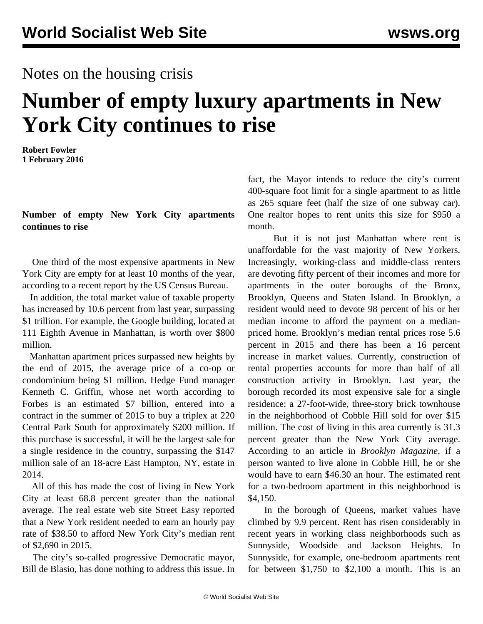## Notes on the housing crisis

# **Number of empty luxury apartments in New York City continues to rise**

**Robert Fowler 1 February 2016**

**Number of empty New York City apartments continues to rise**

 One third of the most expensive apartments in New York City are empty for at least 10 months of the year, according to a recent report by the US Census Bureau.

 In addition, the total market value of taxable property has increased by 10.6 percent from last year, surpassing \$1 trillion. For example, the Google building, located at 111 Eighth Avenue in Manhattan, is worth over \$800 million.

 Manhattan apartment prices surpassed new heights by the end of 2015, the average price of a co-op or condominium being \$1 million. Hedge Fund manager Kenneth C. Griffin, whose net worth according to Forbes is an estimated \$7 billion, entered into a contract in the summer of 2015 to buy a triplex at 220 Central Park South for approximately \$200 million. If this purchase is successful, it will be the largest sale for a single residence in the country, surpassing the \$147 million sale of an 18-acre East Hampton, NY, estate in 2014.

 All of this has made the cost of living in New York City at least 68.8 percent greater than the national average. The real estate web site Street Easy reported that a New York resident needed to earn an hourly pay rate of \$38.50 to afford New York City's median rent of \$2,690 in 2015.

 The city's so-called progressive Democratic mayor, Bill de Blasio, has done nothing to address this issue. In fact, the Mayor intends to reduce the city's current 400-square foot limit for a single apartment to as little as 265 square feet (half the size of one subway car). One realtor hopes to rent units this size for \$950 a month.

 But it is not just Manhattan where rent is unaffordable for the vast majority of New Yorkers. Increasingly, working-class and middle-class renters are devoting fifty percent of their incomes and more for apartments in the outer boroughs of the Bronx, Brooklyn, Queens and Staten Island. In Brooklyn, a resident would need to devote 98 percent of his or her median income to afford the payment on a medianpriced home. Brooklyn's median rental prices rose 5.6 percent in 2015 and there has been a 16 percent increase in market values. Currently, construction of rental properties accounts for more than half of all construction activity in Brooklyn. Last year, the borough recorded its most expensive sale for a single residence: a 27-foot-wide, three-story brick townhouse in the neighborhood of Cobble Hill sold for over \$15 million. The cost of living in this area currently is 31.3 percent greater than the New York City average. According to an article in *Brooklyn Magazine*, if a person wanted to live alone in Cobble Hill, he or she would have to earn \$46.30 an hour. The estimated rent for a two-bedroom apartment in this neighborhood is \$4,150.

 In the borough of Queens, market values have climbed by 9.9 percent. Rent has risen considerably in recent years in working class neighborhoods such as Sunnyside, Woodside and Jackson Heights. In Sunnyside, for example, one-bedroom apartments rent for between \$1,750 to \$2,100 a month. This is an